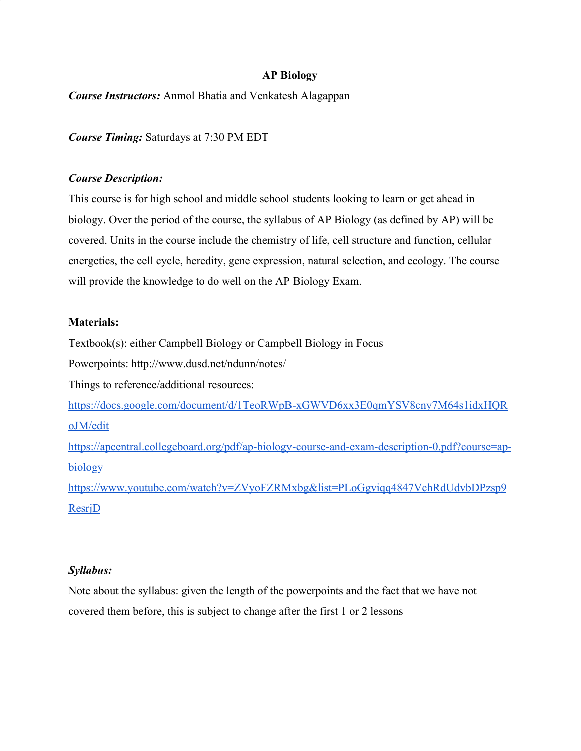#### **AP Biology**

*Course Instructors:* Anmol Bhatia and Venkatesh Alagappan

*Course Timing:* Saturdays at 7:30 PM EDT

#### *Course Description:*

This course is for high school and middle school students looking to learn or get ahead in biology. Over the period of the course, the syllabus of AP Biology (as defined by AP) will be covered. Units in the course include the chemistry of life, cell structure and function, cellular energetics, the cell cycle, heredity, gene expression, natural selection, and ecology. The course will provide the knowledge to do well on the AP Biology Exam.

#### **Materials:**

Textbook(s): either Campbell Biology or Campbell Biology in Focus

Powerpoints: http://www.dusd.net/ndunn/notes/

Things to reference/additional resources:

[https://docs.google.com/document/d/1TeoRWpB-xGWVD6xx3E0qmYSV8cny7M64s1idxHQR](https://docs.google.com/document/d/1TeoRWpB-xGWVD6xx3E0qmYSV8cny7M64s1idxHQRoJM/edit) [oJM/edit](https://docs.google.com/document/d/1TeoRWpB-xGWVD6xx3E0qmYSV8cny7M64s1idxHQRoJM/edit)

[https://apcentral.collegeboard.org/pdf/ap-biology-course-and-exam-description-0.pdf?course=ap](https://apcentral.collegeboard.org/pdf/ap-biology-course-and-exam-description-0.pdf?course=ap-biology)[biology](https://apcentral.collegeboard.org/pdf/ap-biology-course-and-exam-description-0.pdf?course=ap-biology)

[https://www.youtube.com/watch?v=ZVyoFZRMxbg&list=PLoGgviqq4847VchRdUdvbDPzsp9](https://www.youtube.com/watch?v=ZVyoFZRMxbg&list=PLoGgviqq4847VchRdUdvbDPzsp9ResrjD) [ResrjD](https://www.youtube.com/watch?v=ZVyoFZRMxbg&list=PLoGgviqq4847VchRdUdvbDPzsp9ResrjD)

#### *Syllabus:*

Note about the syllabus: given the length of the powerpoints and the fact that we have not covered them before, this is subject to change after the first 1 or 2 lessons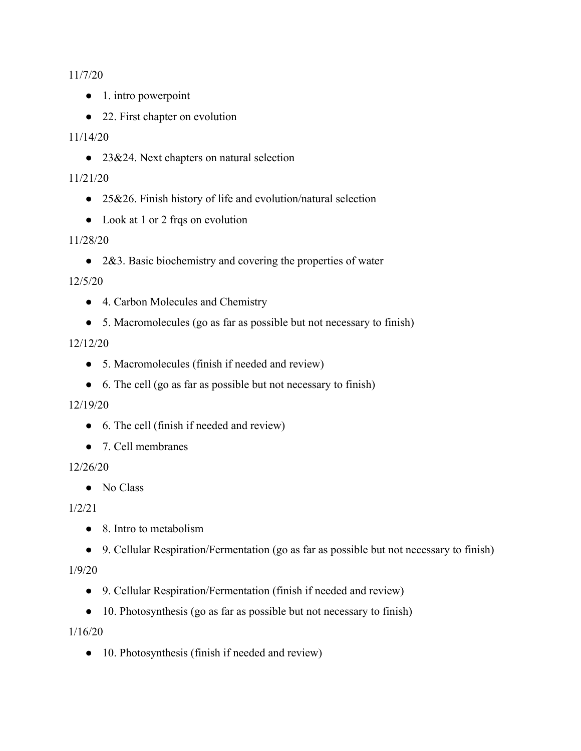11/7/20

- 1. intro powerpoint
- 22. First chapter on evolution

#### 11/14/20

● 23&24. Next chapters on natural selection

#### 11/21/20

- 25&26. Finish history of life and evolution/natural selection
- Look at 1 or 2 frqs on evolution

#### 11/28/20

• 2&3. Basic biochemistry and covering the properties of water

#### 12/5/20

- 4. Carbon Molecules and Chemistry
- 5. Macromolecules (go as far as possible but not necessary to finish)

### 12/12/20

- 5. Macromolecules (finish if needed and review)
- 6. The cell (go as far as possible but not necessary to finish)

#### 12/19/20

- 6. The cell (finish if needed and review)
- 7. Cell membranes

#### 12/26/20

● No Class

### 1/2/21

- 8. Intro to metabolism
- 9. Cellular Respiration/Fermentation (go as far as possible but not necessary to finish)

#### 1/9/20

- 9. Cellular Respiration/Fermentation (finish if needed and review)
- 10. Photosynthesis (go as far as possible but not necessary to finish)

#### 1/16/20

• 10. Photosynthesis (finish if needed and review)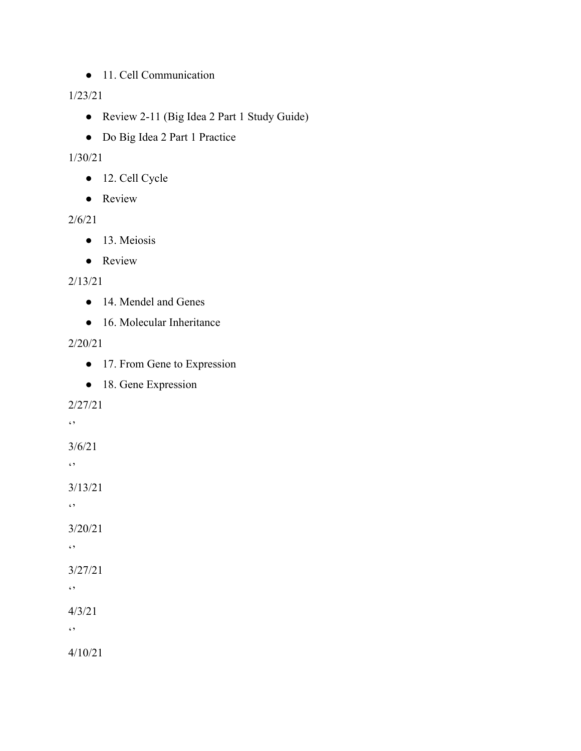● 11. Cell Communication

## 1/23/21

- Review 2-11 (Big Idea 2 Part 1 Study Guide)
- Do Big Idea 2 Part 1 Practice

## 1/30/21

- 12. Cell Cycle
- Review

## 2/6/21

- 13. Meiosis
- Review

## 2/13/21

- 14. Mendel and Genes
- 16. Molecular Inheritance

## 2/20/21

- 17. From Gene to Expression
- 18. Gene Expression

## 2/27/21

 $\ddot{\phantom{0}}$ 

3/6/21

 $\epsilon$ ,  $\epsilon$ 

3/13/21

 $\bullet$ 

3/20/21

 $\epsilon$ 

# 3/27/21

 $\ddot{\phantom{0}}$ 

4/3/21

 $\leftrightarrow$ 

4/10/21